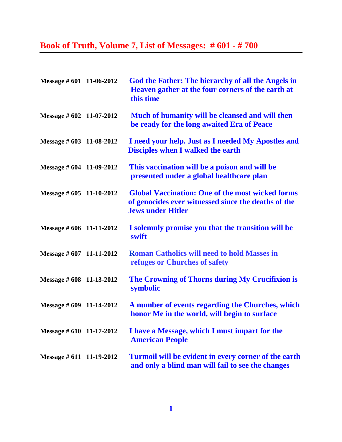## **Book of Truth, Volume 7, List of Messages: # 601 - # 700**

| Message # 601 11-06-2012 | God the Father: The hierarchy of all the Angels in<br>Heaven gather at the four corners of the earth at<br>this time                       |
|--------------------------|--------------------------------------------------------------------------------------------------------------------------------------------|
| Message # 602 11-07-2012 | Much of humanity will be cleansed and will then<br>be ready for the long awaited Era of Peace                                              |
| Message # 603 11-08-2012 | I need your help. Just as I needed My Apostles and<br><b>Disciples when I walked the earth</b>                                             |
| Message # 604 11-09-2012 | This vaccination will be a poison and will be<br>presented under a global healthcare plan                                                  |
| Message # 605 11-10-2012 | <b>Global Vaccination: One of the most wicked forms</b><br>of genocides ever witnessed since the deaths of the<br><b>Jews under Hitler</b> |
| Message # 606 11-11-2012 | I solemnly promise you that the transition will be<br>swift                                                                                |
| Message # 607 11-11-2012 | <b>Roman Catholics will need to hold Masses in</b><br>refuges or Churches of safety                                                        |
| Message # 608 11-13-2012 | The Crowning of Thorns during My Crucifixion is<br>symbolic                                                                                |
| Message # 609 11-14-2012 | A number of events regarding the Churches, which<br>honor Me in the world, will begin to surface                                           |
| Message # 610 11-17-2012 | I have a Message, which I must impart for the<br><b>American People</b>                                                                    |
| Message # 611 11-19-2012 | Turmoil will be evident in every corner of the earth<br>and only a blind man will fail to see the changes                                  |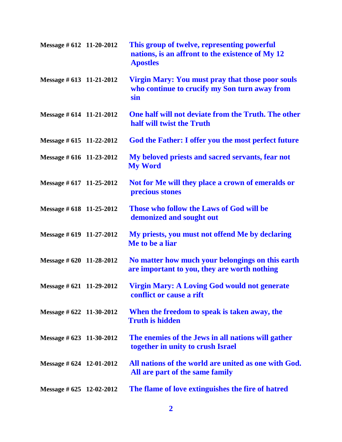| Message # 612 11-20-2012    | This group of twelve, representing powerful<br>nations, is an affront to the existence of My 12<br><b>Apostles</b> |
|-----------------------------|--------------------------------------------------------------------------------------------------------------------|
| Message # 613 11-21-2012    | <b>Virgin Mary: You must pray that those poor souls</b><br>who continue to crucify my Son turn away from<br>sin    |
| Message # 614 11-21-2012    | One half will not deviate from the Truth. The other<br>half will twist the Truth                                   |
| Message $\#$ 615 11-22-2012 | God the Father: I offer you the most perfect future                                                                |
| Message # 616 11-23-2012    | My beloved priests and sacred servants, fear not<br><b>My Word</b>                                                 |
| Message # 617 11-25-2012    | Not for Me will they place a crown of emeralds or<br>precious stones                                               |
| Message # 618 11-25-2012    | Those who follow the Laws of God will be<br>demonized and sought out                                               |
| Message # 619 11-27-2012    | My priests, you must not offend Me by declaring<br>Me to be a liar                                                 |
| Message $\#$ 620 11-28-2012 | No matter how much your belongings on this earth<br>are important to you, they are worth nothing                   |
| Message # 621 11-29-2012    | <b>Virgin Mary: A Loving God would not generate</b><br>conflict or cause a rift                                    |
| Message $\#$ 622 11-30-2012 | When the freedom to speak is taken away, the<br><b>Truth is hidden</b>                                             |
| Message $\#$ 623 11-30-2012 | The enemies of the Jews in all nations will gather<br>together in unity to crush Israel                            |
| Message # $624$ 12-01-2012  | All nations of the world are united as one with God.<br>All are part of the same family                            |
| Message $\#$ 625 12-02-2012 | The flame of love extinguishes the fire of hatred                                                                  |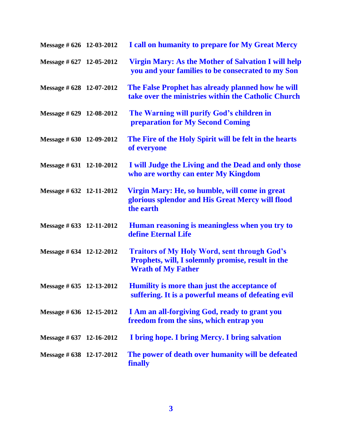| Message $\#$ 626 12-03-2012 | I call on humanity to prepare for My Great Mercy                                                                                      |
|-----------------------------|---------------------------------------------------------------------------------------------------------------------------------------|
| Message # 627 12-05-2012    | <b>Virgin Mary: As the Mother of Salvation I will help</b><br>you and your families to be consecrated to my Son                       |
| Message # 628 12-07-2012    | The False Prophet has already planned how he will<br>take over the ministries within the Catholic Church                              |
| Message # 629 12-08-2012    | The Warning will purify God's children in<br>preparation for My Second Coming                                                         |
| Message # 630 12-09-2012    | The Fire of the Holy Spirit will be felt in the hearts<br>of everyone                                                                 |
| Message $\#$ 631 12-10-2012 | I will Judge the Living and the Dead and only those<br>who are worthy can enter My Kingdom                                            |
| Message # 632 12-11-2012    | Virgin Mary: He, so humble, will come in great<br>glorious splendor and His Great Mercy will flood<br>the earth                       |
| Message # 633 12-11-2012    | Human reasoning is meaningless when you try to<br>define Eternal Life                                                                 |
| Message # 634 12-12-2012    | <b>Traitors of My Holy Word, sent through God's</b><br>Prophets, will, I solemnly promise, result in the<br><b>Wrath of My Father</b> |
| Message # 635 12-13-2012    | Humility is more than just the acceptance of<br>suffering. It is a powerful means of defeating evil                                   |
| Message # 636 12-15-2012    | I Am an all-forgiving God, ready to grant you<br>freedom from the sins, which entrap you                                              |
| Message # 637 12-16-2012    | I bring hope. I bring Mercy. I bring salvation                                                                                        |
| Message # 638 12-17-2012    | The power of death over humanity will be defeated<br><b>finally</b>                                                                   |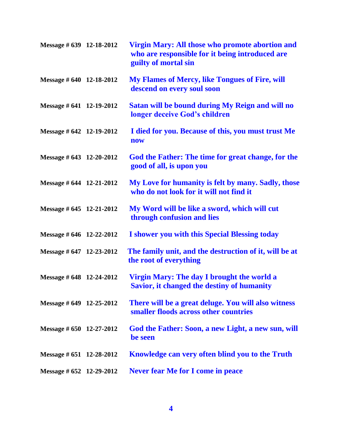| Message # 639 12-18-2012    | <b>Virgin Mary: All those who promote abortion and</b><br>who are responsible for it being introduced are<br>guilty of mortal sin |
|-----------------------------|-----------------------------------------------------------------------------------------------------------------------------------|
| Message # 640 12-18-2012    | <b>My Flames of Mercy, like Tongues of Fire, will</b><br>descend on every soul soon                                               |
| Message # 641 12-19-2012    | Satan will be bound during My Reign and will no<br>longer deceive God's children                                                  |
| Message # 642 12-19-2012    | I died for you. Because of this, you must trust Me<br><b>now</b>                                                                  |
| Message $\#$ 643 12-20-2012 | God the Father: The time for great change, for the<br>good of all, is upon you                                                    |
| Message # 644 12-21-2012    | My Love for humanity is felt by many. Sadly, those<br>who do not look for it will not find it                                     |
| Message # 645 12-21-2012    | My Word will be like a sword, which will cut<br>through confusion and lies                                                        |
| Message # 646 12-22-2012    | I shower you with this Special Blessing today                                                                                     |
| Message # 647 12-23-2012    | The family unit, and the destruction of it, will be at<br>the root of everything                                                  |
| Message # 648 12-24-2012    | Virgin Mary: The day I brought the world a<br><b>Savior, it changed the destiny of humanity</b>                                   |
| Message # $649$ 12-25-2012  | There will be a great deluge. You will also witness<br>smaller floods across other countries                                      |
| Message # 650 12-27-2012    | God the Father: Soon, a new Light, a new sun, will<br>be seen                                                                     |
| Message $\#$ 651 12-28-2012 | Knowledge can very often blind you to the Truth                                                                                   |
| Message $\#$ 652 12-29-2012 | <b>Never fear Me for I come in peace</b>                                                                                          |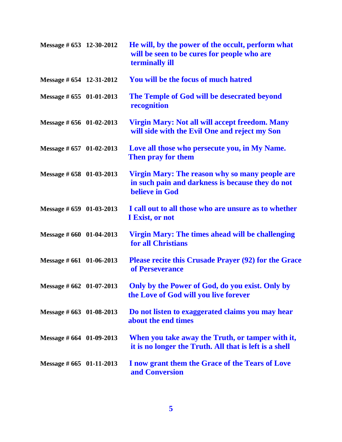| Message # 653 12-30-2012    | He will, by the power of the occult, perform what<br>will be seen to be cures for people who are<br>terminally ill   |
|-----------------------------|----------------------------------------------------------------------------------------------------------------------|
| Message # 654 12-31-2012    | You will be the focus of much hatred                                                                                 |
| Message $\#$ 655 01-01-2013 | The Temple of God will be desecrated beyond<br>recognition                                                           |
| Message $\#$ 656 01-02-2013 | <b>Virgin Mary: Not all will accept freedom. Many</b><br>will side with the Evil One and reject my Son               |
| Message # 657 01-02-2013    | Love all those who persecute you, in My Name.<br>Then pray for them                                                  |
| Message # 658 01-03-2013    | Virgin Mary: The reason why so many people are<br>in such pain and darkness is because they do not<br>believe in God |
| Message $\#$ 659 01-03-2013 | I call out to all those who are unsure as to whether<br>I Exist, or not                                              |
| Message $\#$ 660 01-04-2013 | <b>Virgin Mary: The times ahead will be challenging</b><br>for all Christians                                        |
| Message $\#$ 661 01-06-2013 | <b>Please recite this Crusade Prayer (92) for the Grace</b><br>of Perseverance                                       |
| Message # 662 01-07-2013    | Only by the Power of God, do you exist. Only by<br>the Love of God will you live forever                             |
| Message # 663 01-08-2013    | Do not listen to exaggerated claims you may hear<br>about the end times                                              |
| Message $\#$ 664 01-09-2013 | When you take away the Truth, or tamper with it,<br>it is no longer the Truth. All that is left is a shell           |
| Message $\#$ 665 01-11-2013 | I now grant them the Grace of the Tears of Love<br>and Conversion                                                    |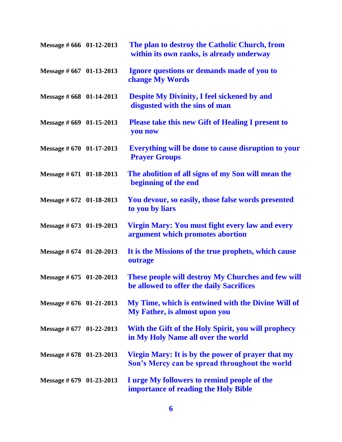| Message # 666 01-12-2013    | The plan to destroy the Catholic Church, from<br>within its own ranks, is already underway          |
|-----------------------------|-----------------------------------------------------------------------------------------------------|
| Message # 667 01-13-2013    | Ignore questions or demands made of you to<br><b>change My Words</b>                                |
| Message # 668 01-14-2013    | <b>Despite My Divinity, I feel sickened by and</b><br>disgusted with the sins of man                |
| Message $\#$ 669 01-15-2013 | <b>Please take this new Gift of Healing I present to</b><br>you now                                 |
| Message # 670 01-17-2013    | Everything will be done to cause disruption to your<br><b>Prayer Groups</b>                         |
| Message # 671 01-18-2013    | The abolition of all signs of my Son will mean the<br>beginning of the end                          |
| Message # 672 01-18-2013    | You devour, so easily, those false words presented<br>to you by liars                               |
| Message $\#$ 673 01-19-2013 | Virgin Mary: You must fight every law and every<br>argument which promotes abortion                 |
| Message $\#$ 674 01-20-2013 | It is the Missions of the true prophets, which cause<br>outrage                                     |
| Message $\#$ 675 01-20-2013 | These people will destroy My Churches and few will<br>be allowed to offer the daily Sacrifices      |
| Message $\#$ 676 01-21-2013 | My Time, which is entwined with the Divine Will of<br>My Father, is almost upon you                 |
| Message $\#$ 677 01-22-2013 | With the Gift of the Holy Spirit, you will prophecy<br>in My Holy Name all over the world           |
| Message $\#$ 678 01-23-2013 | Virgin Mary: It is by the power of prayer that my<br>Son's Mercy can be spread throughout the world |
| Message $\#$ 679 01-23-2013 | I urge My followers to remind people of the<br><b>importance of reading the Holy Bible</b>          |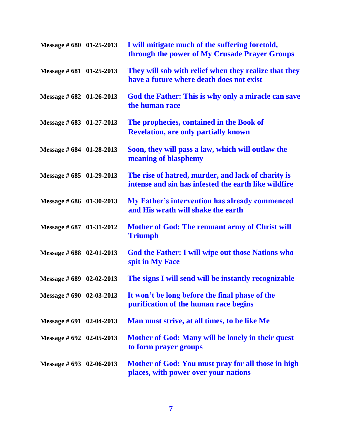| Message $\#$ 680 01-25-2013 | I will mitigate much of the suffering foretold,<br>through the power of My Crusade Prayer Groups           |
|-----------------------------|------------------------------------------------------------------------------------------------------------|
| Message $\#$ 681 01-25-2013 | They will sob with relief when they realize that they<br>have a future where death does not exist          |
| Message $\#$ 682 01-26-2013 | God the Father: This is why only a miracle can save<br>the human race                                      |
| Message # 683 01-27-2013    | The prophecies, contained in the Book of<br><b>Revelation, are only partially known</b>                    |
| Message # 684 01-28-2013    | Soon, they will pass a law, which will outlaw the<br>meaning of blasphemy                                  |
| Message $\#$ 685 01-29-2013 | The rise of hatred, murder, and lack of charity is<br>intense and sin has infested the earth like wildfire |
| Message # 686 01-30-2013    | <b>My Father's intervention has already commenced</b><br>and His wrath will shake the earth                |
| Message # 687 01-31-2012    | Mother of God: The remnant army of Christ will<br><b>Triumph</b>                                           |
| Message # 688 02-01-2013    | God the Father: I will wipe out those Nations who<br>spit in My Face                                       |
| Message $\#$ 689 02-02-2013 | The signs I will send will be instantly recognizable                                                       |
| Message $\#$ 690 02-03-2013 | It won't be long before the final phase of the<br>purification of the human race begins                    |
| Message $\#$ 691 02-04-2013 | Man must strive, at all times, to be like Me                                                               |
| Message $\#$ 692 02-05-2013 | Mother of God: Many will be lonely in their quest<br>to form prayer groups                                 |
| Message $\#$ 693 02-06-2013 | Mother of God: You must pray for all those in high<br>places, with power over your nations                 |